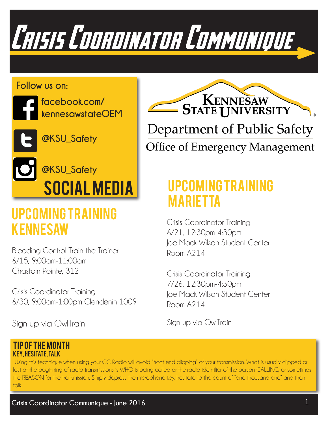

#### **Follow us on:**



**facebook.com/ kennesawstateOEM**



**@KSU\_Safety**

# Social Media **@KSU\_Safety**

### Upcoming Training KENNESAW Crisis Coordinator Training

Bleeding Control Train-the-Trainer 6/15, 9:00am-11:00am Chastain Pointe, 312

Crisis Coordinator Training 6/30, 9:00am-1:00pm Clendenin 1009

Sign up via OwlTrain



## Upcoming Training mARIETTA

6/21, 12:30pm-4:30pm Joe Mack Wilson Student Center Room A214

Crisis Coordinator Training 7/26, 12:30pm-4:30pm Joe Mack Wilson Student Center Room A214

Sign up via OwlTrain

#### Tip of the Month Key, Hesitate, Talk

 Using this technique when using your CC Radio will avoid "front end clipping" of your transmission. What is usually clipped or lost at the beginning of radio transmissions is WHO is being called or the radio identifier of the person CALLING, or sometimes the REASON for the transmission. Simply depress the microphone key, hesitate to the count of "one thousand one" and then talk.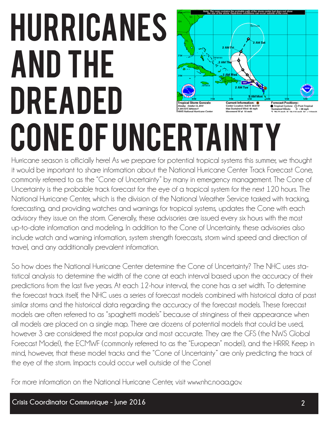# Hurricanes and the dreaded m Gonzak cone of Uncertainty

Hurricane season is officially here! As we prepare for potential tropical systems this summer, we thought it would be important to share information about the National Hurricane Center Track Forecast Cone, commonly referred to as the "Cone of Uncertainty" by many in emergency management. The Cone of Uncertainty is the probable track forecast for the eye of a tropical system for the next 120 hours. The National Hurricane Center, which is the division of the National Weather Service tasked with tracking, forecasting, and providing watches and warnings for tropical systems, updates the Cone with each advisory they issue on the storm. Generally, these advisories are issued every six hours with the most up-to-date information and modeling. In addition to the Cone of Uncertainty, these advisories also include watch and warning information, system strength forecasts, storm wind speed and direction of travel, and any additionally prevalent information.

So how does the National Hurricane Center determine the Cone of Uncertainty? The NHC uses statistical analysis to determine the width of the cone at each interval based upon the accuracy of their predictions from the last five years. At each 12-hour interval, the cone has a set width. To determine the forecast track itself, the NHC uses a series of forecast models combined with historical data of past similar storms and the historical data regarding the accuracy of the forecast models. These forecast models are often referred to as "spaghetti models" because of stringiness of their appearance when all models are placed on a single map. There are dozens of potential models that could be used, however 3 are considered the most popular and most accurate. They are the GFS (the NWS Global Forecast Model), the ECMWF (commonly referred to as the "European" model), and the HRRR. Keep in mind, however, that these model tracks and the "Cone of Uncertainty" are only predicting the track of the eye of the storm. Impacts could occur well outside of the Cone!

For more information on the National Hurricane Center, visit www.nhc.noaa.gov.

**Forecast Position** 

● Tropical Cyclone ○ Post-Trop<br>Sustained Winds: D < 39 mpl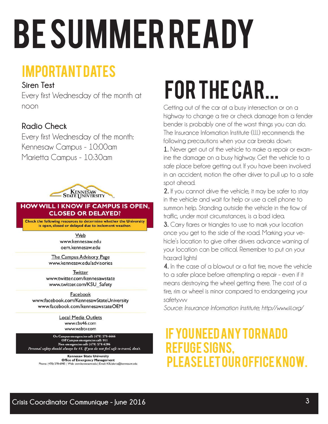# **BE SUMMER READY**

## Important Dates

#### **Siren Test**

Every first Wednesday of the month at noon

#### **Radio Check**

Every first Wednesday of the month: Kennesaw Campus - 10:00am Marietta Campus - 10:30am



#### **HOW WILL I KNOW IF CAMPUS IS OPEN. CLOSED OR DELAYED?**

Check the following resources to determine whether the University is open, closed or delayed due to inclement weather.

> Web www.kennesaw.edu oem.kennesaw.edu

The Campus Advisory Page www.kennesaw.edu/advisories

Twitter www.twitter.com/kennesawstate www.twitter.com/KSU Safety

Facebook www.facebook.com/KennesawStateUniversity www.facebook.com/kennesawstateOEM

> **Local Media Outlets** www.cbs46.com www.wsbtv.com

On Campus emergencies call: (470) 578-6666 Off Campus emergencies call: 911 Non-emergencies call: (470) 578-6206 Personal safety should always be #1. If you do not feel safe to travel, don't.

**Kennesaw State University Office of Emergency Management**<br>Phone: (470) 578-6985 | Web: oem.kennesaw.edu | Email: KSUalerts@kennesaw.edu

# for the car...

Getting out of the car at a busy intersection or on a highway to change a tire or check damage from a fender bender is probably one of the worst things you can do. The Insurance Information Institute (I.I.I.) recommends the following precautions when your car breaks down:

**1.** Never get out of the vehicle to make a repair or examine the damage on a busy highway. Get the vehicle to a safe place before getting out. If you have been involved in an accident, motion the other driver to pull up to a safe spot ahead.

**2.** If you cannot drive the vehicle, it may be safer to stay in the vehicle and wait for help or use a cell phone to summon help. Standing outside the vehicle in the flow of traffic, under most circumstances, is a bad idea.

**3.** Carry flares or triangles to use to mark your location once you get to the side of the road. Marking your vehicle's location to give other drivers advance warning of your location can be critical. Remember to put on your hazard lights!

**4.** In the case of a blowout or a flat tire, move the vehicle to a safer place before attempting a repair - even if it means destroying the wheel getting there. The cost of a tire, rim or wheel is minor compared to endangering your safety.vvv

*Source: Insurance Information Institute; http://www.iii.org/*

### YOU NEED ANY TORNADO refuge signs, please let our office know.